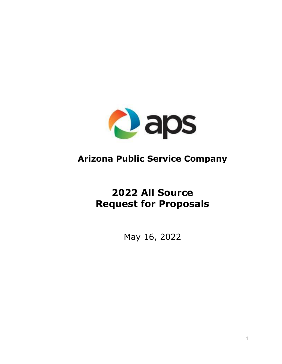

# **Arizona Public Service Company**

# **2022 All Source Request for Proposals**

May 16, 2022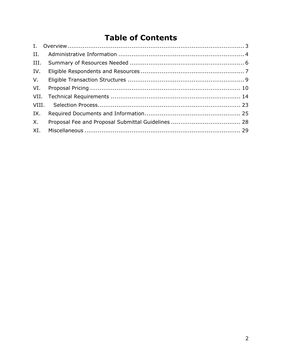# **Table of Contents**

| II.         |  |
|-------------|--|
|             |  |
| IV.         |  |
| $V_{\cdot}$ |  |
| VI.         |  |
|             |  |
|             |  |
|             |  |
| $X_{1}$     |  |
| XI.         |  |
|             |  |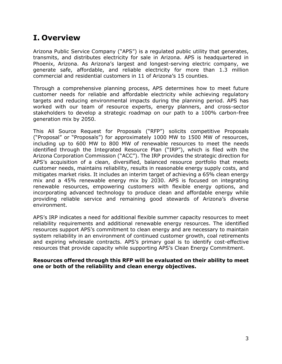# <span id="page-2-0"></span>**I. Overview**

Arizona Public Service Company ("APS") is a regulated public utility that generates, transmits, and distributes electricity for sale in Arizona. APS is headquartered in Phoenix, Arizona. As Arizona's largest and longest-serving electric company, we generate safe, affordable, and reliable electricity for more than 1.3 million commercial and residential customers in 11 of Arizona's 15 counties.

Through a comprehensive planning process, APS determines how to meet future customer needs for reliable and affordable electricity while achieving regulatory targets and reducing environmental impacts during the planning period. APS has worked with our team of resource experts, energy planners, and cross-sector stakeholders to develop a strategic roadmap on our path to a 100% carbon-free generation mix by 2050.

This All Source Request for Proposals ("RFP") solicits competitive Proposals ("Proposal" or "Proposals") for approximately 1000 MW to 1500 MW of resources, including up to 600 MW to 800 MW of renewable resources to meet the needs identified through the Integrated Resource Plan ("IRP"), which is filed with the Arizona Corporation Commission ("ACC"). The IRP provides the strategic direction for APS's acquisition of a clean, diversified, balanced resource portfolio that meets customer needs, maintains reliability, results in reasonable energy supply costs, and mitigates market risks. It includes an interim target of achieving a 65% clean energy mix and a 45% renewable energy mix by 2030. APS is focused on integrating renewable resources, empowering customers with flexible energy options, and incorporating advanced technology to produce clean and affordable energy while providing reliable service and remaining good stewards of Arizona's diverse environment.

APS's IRP indicates a need for additional flexible summer capacity resources to meet reliability requirements and additional renewable energy resources. The identified resources support APS's commitment to clean energy and are necessary to maintain system reliability in an environment of continued customer growth, coal retirements and expiring wholesale contracts. APS's primary goal is to identify cost-effective resources that provide capacity while supporting APS's Clean Energy Commitment.

#### **Resources offered through this RFP will be evaluated on their ability to meet one or both of the reliability and clean energy objectives.**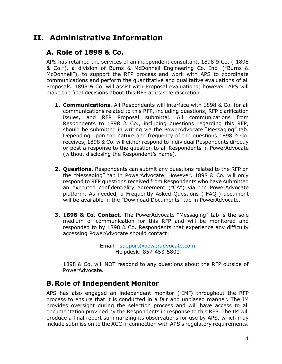# <span id="page-3-0"></span>**II. Administrative Information**

# **A. Role of 1898 & Co.**

APS has retained the services of an independent consultant, 1898 & Co. ("1898 & Co."), a division of Burns & McDonnell Engineering Co. Inc. ("Burns & McDonnell"), to support the RFP process and work with APS to coordinate communications and perform the quantitative and qualitative evaluations of all Proposals. 1898 & Co. will assist with Proposal evaluations; however, APS will make the final decisions about this RFP at its sole discretion.

- **1. Communications**. All Respondents will interface with 1898 & Co. for all communications related to this RFP, including questions, RFP clarification issues, and RFP Proposal submittal. All communications from Respondents to 1898 & Co., including questions regarding this RFP, should be submitted in writing via the PowerAdvocate "Messaging" tab. Depending upon the nature and frequency of the questions 1898 & Co. receives, 1898 & Co. will either respond to individual Respondents directly or post a response to the question to all Respondents in PowerAdvocate (without disclosing the Respondent's name).
- **2. Questions**. Respondents can submit any questions related to the RFP on the "Messaging" tab in PowerAdvocate. However, 1898 & Co. will only respond to RFP questions received from Respondents who have submitted an executed confidentiality agreement ("CA") via the PowerAdvocate platform. As needed, a Frequently Asked Questions ("FAQ") document will be available in the "Download Documents" tab in PowerAdvocate.
- **3. 1898 & Co. Contact**. The PowerAdvocate "Messaging" tab is the sole medium of communication for this RFP and will be monitored and responded to by 1898 & Co. Respondents that experience any difficulty accessing PowerAdvocate should contact:

Email:[support@poweradvocate.com](mailto:APSRFP2022@1898andco.com) Helpdesk: 857-453-5800

1898 & Co. will NOT respond to any questions about the RFP outside of PowerAdvocate.

### **B. Role of Independent Monitor**

APS has also engaged an independent monitor ("IM") throughout the RFP process to ensure that it is conducted in a fair and unbiased manner. The IM provides oversight during the selection process and will have access to all documentation provided by the Respondents in response to this RFP. The IM will produce a final report summarizing its observations for use by APS, which may include submission to the ACC in connection with APS's regulatory requirements.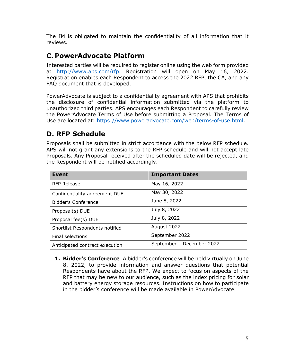The IM is obligated to maintain the confidentiality of all information that it reviews.

### **C. PowerAdvocate Platform**

Interested parties will be required to register online using the web form provided at [http://www.aps.com/rfp.](http://www.aps.com/rfp) Registration will open on May 16, 2022. Registration enables each Respondent to access the 2022 RFP, the CA, and any FAQ document that is developed.

PowerAdvocate is subject to a confidentiality agreement with APS that prohibits the disclosure of confidential information submitted via the platform to unauthorized third parties. APS encourages each Respondent to carefully review the PowerAdvocate Terms of Use before submitting a Proposal. The Terms of Use are located at: [https://www.poweradvocate.com/web/terms-of-use.html.](https://www.poweradvocate.com/web/terms-of-use.html)

# **D. RFP Schedule**

Proposals shall be submitted in strict accordance with the below RFP schedule. APS will not grant any extensions to the RFP schedule and will not accept late Proposals. Any Proposal received after the scheduled date will be rejected, and the Respondent will be notified accordingly.

| <b>Event</b>                   | <b>Important Dates</b>    |  |  |  |
|--------------------------------|---------------------------|--|--|--|
| <b>RFP Release</b>             | May 16, 2022              |  |  |  |
| Confidentiality agreement DUE  | May 30, 2022              |  |  |  |
| Bidder's Conference            | June 8, 2022              |  |  |  |
| Proposal(s) DUE                | July 8, 2022              |  |  |  |
| Proposal fee(s) DUE            | July 8, 2022              |  |  |  |
| Shortlist Respondents notified | August 2022               |  |  |  |
| <b>Final selections</b>        | September 2022            |  |  |  |
| Anticipated contract execution | September - December 2022 |  |  |  |

**1. Bidder's Conference**. A bidder's conference will be held virtually on June 8, 2022, to provide information and answer questions that potential Respondents have about the RFP. We expect to focus on aspects of the RFP that may be new to our audience, such as the index pricing for solar and battery energy storage resources. Instructions on how to participate in the bidder's conference will be made available in PowerAdvocate.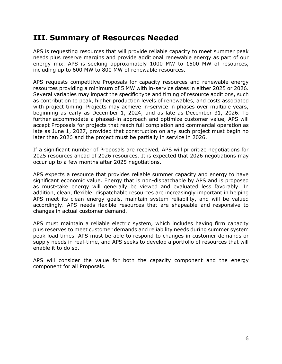# <span id="page-5-0"></span>**III. Summary of Resources Needed**

APS is requesting resources that will provide reliable capacity to meet summer peak needs plus reserve margins and provide additional renewable energy as part of our energy mix. APS is seeking approximately 1000 MW to 1500 MW of resources, including up to 600 MW to 800 MW of renewable resources.

APS requests competitive Proposals for capacity resources and renewable energy resources providing a minimum of 5 MW with in-service dates in either 2025 or 2026. Several variables may impact the specific type and timing of resource additions, such as contribution to peak, higher production levels of renewables, and costs associated with project timing. Projects may achieve in-service in phases over multiple years, beginning as early as December 1, 2024, and as late as December 31, 2026. To further accommodate a phased-in approach and optimize customer value, APS will accept Proposals for projects that reach full completion and commercial operation as late as June 1, 2027, provided that construction on any such project must begin no later than 2026 and the project must be partially in service in 2026.

If a significant number of Proposals are received, APS will prioritize negotiations for 2025 resources ahead of 2026 resources. It is expected that 2026 negotiations may occur up to a few months after 2025 negotiations.

APS expects a resource that provides reliable summer capacity and energy to have significant economic value. Energy that is non-dispatchable by APS and is proposed as must-take energy will generally be viewed and evaluated less favorably. In addition, clean, flexible, dispatchable resources are increasingly important in helping APS meet its clean energy goals, maintain system reliability, and will be valued accordingly. APS needs flexible resources that are shapeable and responsive to changes in actual customer demand.

APS must maintain a reliable electric system, which includes having firm capacity plus reserves to meet customer demands and reliability needs during summer system peak load times. APS must be able to respond to changes in customer demands or supply needs in real-time, and APS seeks to develop a portfolio of resources that will enable it to do so.

APS will consider the value for both the capacity component and the energy component for all Proposals.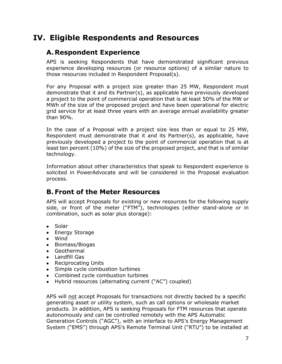# <span id="page-6-0"></span>**IV. Eligible Respondents and Resources**

### **A.Respondent Experience**

APS is seeking Respondents that have demonstrated significant previous experience developing resources (or resource options) of a similar nature to those resources included in Respondent Proposal(s).

For any Proposal with a project size greater than 25 MW, Respondent must demonstrate that it and its Partner(s), as applicable have previously developed a project to the point of commercial operation that is at least 50% of the MW or MWh of the size of the proposed project and have been operational for electric grid service for at least three years with an average annual availability greater than 90%.

In the case of a Proposal with a project size less than or equal to 25 MW, Respondent must demonstrate that it and its Partner(s), as applicable, have previously developed a project to the point of commercial operation that is at least ten percent (10%) of the size of the proposed project, and that is of similar technology.

Information about other characteristics that speak to Respondent experience is solicited in PowerAdvocate and will be considered in the Proposal evaluation process.

### **B.Front of the Meter Resources**

APS will accept Proposals for existing or new resources for the following supply side, or front of the meter ("FTM"), technologies (either stand-alone or in combination, such as solar plus storage):

- Solar
- Energy Storage
- Wind
- Biomass/Biogas
- Geothermal
- Landfill Gas
- Reciprocating Units
- Simple cycle combustion turbines
- Combined cycle combustion turbines
- Hybrid resources (alternating current ("AC") coupled)

APS will not accept Proposals for transactions not directly backed by a specific generating asset or utility system, such as call options or wholesale market products. In addition, APS is seeking Proposals for FTM resources that operate autonomously and can be controlled remotely with the APS Automatic Generation Controls ("AGC"), with an interface to APS's Energy Management System ("EMS") through APS's Remote Terminal Unit ("RTU") to be installed at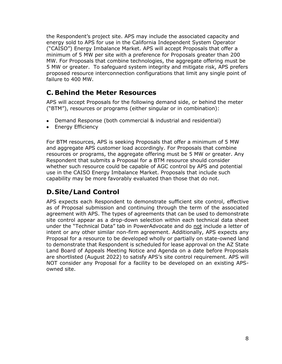the Respondent's project site. APS may include the associated capacity and energy sold to APS for use in the California Independent System Operator ("CAISO") Energy Imbalance Market. APS will accept Proposals that offer a minimum of 5 MW per site with a preference for Proposals greater than 200 MW. For Proposals that combine technologies, the aggregate offering must be 5 MW or greater. To safeguard system integrity and mitigate risk, APS prefers proposed resource interconnection configurations that limit any single point of failure to 400 MW.

# **C. Behind the Meter Resources**

APS will accept Proposals for the following demand side, or behind the meter ("BTM"), resources or programs (either singular or in combination):

- Demand Response (both commercial & industrial and residential)
- Energy Efficiency

For BTM resources, APS is seeking Proposals that offer a minimum of 5 MW and aggregate APS customer load accordingly. For Proposals that combine resources or programs, the aggregate offering must be 5 MW or greater. Any Respondent that submits a Proposal for a BTM resource should consider whether such resource could be capable of AGC control by APS and potential use in the CAISO Energy Imbalance Market. Proposals that include such capability may be more favorably evaluated than those that do not.

# **D.Site/Land Control**

APS expects each Respondent to demonstrate sufficient site control, effective as of Proposal submission and continuing through the term of the associated agreement with APS. The types of agreements that can be used to demonstrate site control appear as a drop-down selection within each technical data sheet under the "Technical Data" tab in PowerAdvocate and do not include a letter of intent or any other similar non-firm agreement. Additionally, APS expects any Proposal for a resource to be developed wholly or partially on state-owned land to demonstrate that Respondent is scheduled for lease approval on the AZ State Land Board of Appeals Meeting Notice and Agenda on a date before Proposals are shortlisted (August 2022) to satisfy APS's site control requirement. APS will NOT consider any Proposal for a facility to be developed on an existing APSowned site.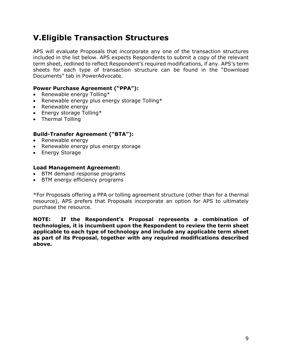# <span id="page-8-0"></span>**V.Eligible Transaction Structures**

APS will evaluate Proposals that incorporate any one of the transaction structures included in the list below. APS expects Respondents to submit a copy of the relevant term sheet, redlined to reflect Respondent's required modifications, if any. APS's term sheets for each type of transaction structure can be found in the "Download Documents" tab in PowerAdvocate.

#### **Power Purchase Agreement ("PPA"):**

- Renewable energy Tolling\*
- Renewable energy plus energy storage Tolling\*
- Renewable energy
- Energy storage Tolling\*
- Thermal Tolling

#### **Build-Transfer Agreement ("BTA"):**

- Renewable energy
- Renewable energy plus energy storage
- Energy Storage

#### **Load Management Agreement:**

- BTM demand response programs
- BTM energy efficiency programs

\*For Proposals offering a PPA or tolling agreement structure (other than for a thermal resource), APS prefers that Proposals incorporate an option for APS to ultimately purchase the resource.

**NOTE: If the Respondent's Proposal represents a combination of technologies, it is incumbent upon the Respondent to review the term sheet applicable to each type of technology and include any applicable term sheet as part of its Proposal, together with any required modifications described above.**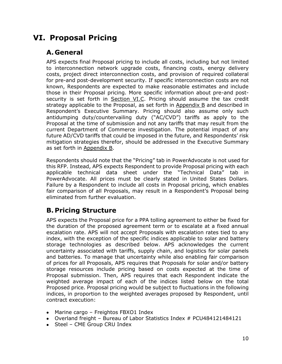# <span id="page-9-0"></span>**VI. Proposal Pricing**

# **A. General**

APS expects final Proposal pricing to include all costs, including but not limited to interconnection network upgrade costs, financing costs, energy delivery costs, project direct interconnection costs, and provision of required collateral for pre-and post-development security. If specific interconnection costs are not known, Respondents are expected to make reasonable estimates and include those in their Proposal pricing. More specific information about pre-and postsecurity is set forth in Section VI.C. Pricing should assume the tax credit strategy applicable to the Proposal, as set forth in Appendix B and described in Respondent's Executive Summary. Pricing should also assume only such antidumping duty/countervailing duty ("AC/CVD") tariffs as apply to the Proposal at the time of submission and not any tariffs that may result from the current Department of Commerce investigation. The potential impact of any future AD/CVD tariffs that could be imposed in the future, and Respondents' risk mitigation strategies therefor, should be addressed in the Executive Summary as set forth in Appendix B.

Respondents should note that the "Pricing" tab in PowerAdvocate is not used for this RFP. Instead, APS expects Respondent to provide Proposal pricing with each applicable technical data sheet under the "Technical Data" tab in PowerAdvocate. All prices must be clearly stated in United States Dollars. Failure by a Respondent to include all costs in Proposal pricing, which enables fair comparison of all Proposals, may result in a Respondent's Proposal being eliminated from further evaluation.

# **B. Pricing Structure**

APS expects the Proposal price for a PPA tolling agreement to either be fixed for the duration of the proposed agreement term or to escalate at a fixed annual escalation rate. APS will not accept Proposals with escalation rates tied to any index, with the exception of the specific indices applicable to solar and battery storage technologies as described below. APS acknowledges the current uncertainty associated with tariffs, supply chain, and logistics for solar panels and batteries. To manage that uncertainty while also enabling fair comparison of prices for all Proposals, APS requires that Proposals for solar and/or battery storage resources include pricing based on costs expected at the time of Proposal submission. Then, APS requires that each Respondent indicate the weighted average impact of each of the indices listed below on the total Proposed price. Proposal pricing would be subject to fluctuations in the following indices, in proportion to the weighted averages proposed by Respondent, until contract execution:

- Marine cargo Freightos FBXO1 Index
- Overland freight Bureau of Labor Statistics Index # PCU484121484121
- Steel CME Group CRU Index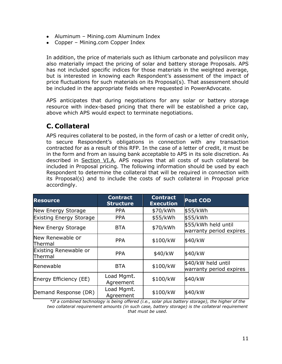- Aluminum Mining.com Aluminum Index
- Copper Mining.com Copper Index

In addition, the price of materials such as lithium carbonate and polysilicon may also materially impact the pricing of solar and battery storage Proposals. APS has not included specific indices for those materials in the weighted average, but is interested in knowing each Respondent's assessment of the impact of price fluctuations for such materials on its Proposal(s). That assessment should be included in the appropriate fields where requested in PowerAdvocate.

APS anticipates that during negotiations for any solar or battery storage resource with index-based pricing that there will be established a price cap, above which APS would expect to terminate negotiations.

# **C. Collateral**

APS requires collateral to be posted, in the form of cash or a letter of credit only, to secure Respondent's obligations in connection with any transaction contracted for as a result of this RFP. In the case of a letter of credit, it must be in the form and from an issuing bank acceptable to APS in its sole discretion. As described in Section VI.A, APS requires that all costs of such collateral be included in Proposal pricing. The following information should be used by each Respondent to determine the collateral that will be required in connection with its Proposal(s) and to include the costs of such collateral in Proposal price accordingly.

| <b>Resource</b>                  | <b>Contract</b><br><b>Structure</b> | <b>Contract</b><br><b>Execution</b> | <b>Post COD</b>                                |  |
|----------------------------------|-------------------------------------|-------------------------------------|------------------------------------------------|--|
| New Energy Storage               | <b>PPA</b>                          | \$70/kWh                            | \$55/kWh                                       |  |
| <b>Existing Energy Storage</b>   | <b>PPA</b>                          | \$55/kWh                            | \$55/kWh                                       |  |
| New Energy Storage               | <b>BTA</b>                          | \$70/kWh                            | \$55/kWh held until<br>warranty period expires |  |
| New Renewable or<br>Thermal      | <b>PPA</b>                          | \$100/kW                            | \$40/kW                                        |  |
| Existing Renewable or<br>Thermal | <b>PPA</b>                          | \$40/kW                             | \$40/kW                                        |  |
| Renewable                        | <b>BTA</b>                          | \$100/kW                            | \$40/kW held until<br>warranty period expires  |  |
| Energy Efficiency (EE)           | Load Mgmt.<br>Agreement             | \$100/kW                            | \$40/kW                                        |  |
| Demand Response (DR)             | Load Mgmt.<br>Agreement             | \$100/kW                            | \$40/kW                                        |  |

*\*If a combined technology is being offered (i.e., solar plus battery storage), the higher of the two collateral requirement amounts (in such case, battery storage) is the collateral requirement that must be used.*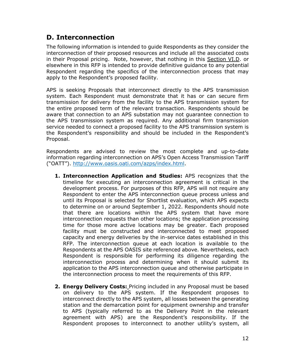# **D. Interconnection**

The following information is intended to guide Respondents as they consider the interconnection of their proposed resources and include all the associated costs in their Proposal pricing. Note, however, that nothing in this Section VI.D. or elsewhere in this RFP is intended to provide definitive guidance to any potential Respondent regarding the specifics of the interconnection process that may apply to the Respondent's proposed facility.

APS is seeking Proposals that interconnect directly to the APS transmission system. Each Respondent must demonstrate that it has or can secure firm transmission for delivery from the facility to the APS transmission system for the entire proposed term of the relevant transaction. Respondents should be aware that connection to an APS substation may not guarantee connection to the APS transmission system as required. Any additional firm transmission service needed to connect a proposed facility to the APS transmission system is the Respondent's responsibility and should be included in the Respondent's Proposal.

Respondents are advised to review the most complete and up-to-date information regarding interconnection on APS's Open Access Transmission Tariff ("OATT"). [http://www.oasis.oati.com/azps/index.html.](http://www.oasis.oati.com/azps/index.html)

- **1. Interconnection Application and Studies:** APS recognizes that the timeline for executing an interconnection agreement is critical in the development process. For purposes of this RFP, APS will not require any Respondent to enter the APS interconnection queue process unless and until its Proposal is selected for Shortlist evaluation, which APS expects to determine on or around September 1, 2022. Respondents should note that there are locations within the APS system that have more interconnection requests than other locations; the application processing time for those more active locations may be greater. Each proposed facility must be constructed and interconnected to meet proposed capacity and energy deliveries by the in-service dates established in this RFP. The interconnection queue at each location is available to the Respondents at the APS OASIS site referenced above. Nevertheless, each Respondent is responsible for performing its diligence regarding the interconnection process and determining when it should submit its application to the APS interconnection queue and otherwise participate in the interconnection process to meet the requirements of this RFP.
- **2. Energy Delivery Costs:** Pricing included in any Proposal must be based on delivery to the APS system. If the Respondent proposes to interconnect directly to the APS system, all losses between the generating station and the demarcation point for equipment ownership and transfer to APS (typically referred to as the Delivery Point in the relevant agreement with APS) are the Respondent's responsibility. If the Respondent proposes to interconnect to another utility's system, all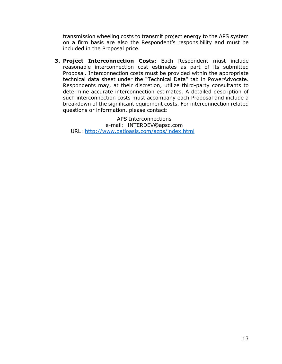transmission wheeling costs to transmit project energy to the APS system on a firm basis are also the Respondent's responsibility and must be included in the Proposal price.

**3. Project Interconnection Costs:** Each Respondent must include reasonable interconnection cost estimates as part of its submitted Proposal. Interconnection costs must be provided within the appropriate technical data sheet under the "Technical Data" tab in PowerAdvocate. Respondents may, at their discretion, utilize third-party consultants to determine accurate interconnection estimates. A detailed description of such interconnection costs must accompany each Proposal and include a breakdown of the significant equipment costs. For interconnection related questions or information, please contact:

APS Interconnections e-mail: INTERDEV@apsc.com URL:<http://www.oatioasis.com/azps/index.html>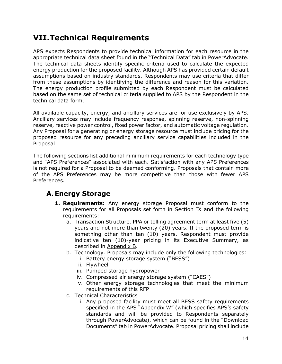# <span id="page-13-0"></span>**VII.Technical Requirements**

APS expects Respondents to provide technical information for each resource in the appropriate technical data sheet found in the "Technical Data" tab in PowerAdvocate. The technical data sheets identify specific criteria used to calculate the expected energy production for the proposed facility. Although APS has provided certain default assumptions based on industry standards, Respondents may use criteria that differ from these assumptions by identifying the difference and reason for this variation. The energy production profile submitted by each Respondent must be calculated based on the same set of technical criteria supplied to APS by the Respondent in the technical data form.

All available capacity, energy, and ancillary services are for use exclusively by APS. Ancillary services may include frequency response, spinning reserve, non-spinning reserve, reactive power control, fixed power factor, and automatic voltage regulation. Any Proposal for a generating or energy storage resource must include pricing for the proposed resource for any preceding ancillary service capabilities included in the Proposal.

The following sections list additional minimum requirements for each technology type and "APS Preferences" associated with each. Satisfaction with any APS Preferences is not required for a Proposal to be deemed conforming. Proposals that contain more of the APS Preferences may be more competitive than those with fewer APS Preferences.

### **A.Energy Storage**

- **1. Requirements:** Any energy storage Proposal must conform to the requirements for all Proposals set forth in Section IX and the following requirements:
	- a. Transaction Structure. PPA or tolling agreement term at least five (5) years and not more than twenty (20) years. If the proposed term is something other than ten (10) years, Respondent must provide indicative ten (10)-year pricing in its Executive Summary, as described in Appendix B.
	- b. Technology. Proposals may include only the following technologies:
		- i. Battery energy storage system ("BESS")
		- ii. Flywheel
		- iii. Pumped storage hydropower
		- iv. Compressed air energy storage system ("CAES")
		- v. Other energy storage technologies that meet the minimum requirements of this RFP
	- c. Technical Characteristics
		- i. Any proposed facility must meet all BESS safety requirements specified in the APS "Appendix W" (which specifies APS's safety standards and will be provided to Respondents separately through PowerAdvocate), which can be found in the "Download Documents" tab in PowerAdvocate. Proposal pricing shall include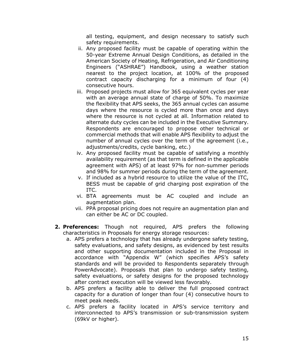all testing, equipment, and design necessary to satisfy such safety requirements.

- ii. Any proposed facility must be capable of operating within the 50-year Extreme Annual Design Conditions, as detailed in the American Society of Heating, Refrigeration, and Air Conditioning Engineers ("ASHRAE") Handbook, using a weather station nearest to the project location, at 100% of the proposed contract capacity discharging for a minimum of four (4) consecutive hours.
- iii. Proposed projects must allow for 365 equivalent cycles per year with an average annual state of charge of 50%. To maximize the flexibility that APS seeks, the 365 annual cycles can assume days where the resource is cycled more than once and days where the resource is not cycled at all. Information related to alternate duty cycles can be included in the Executive Summary. Respondents are encouraged to propose other technical or commercial methods that will enable APS flexibility to adjust the number of annual cycles over the term of the agreement (i.e., adjustments/credits, cycle banking, etc.)
- iv. Any proposed facility must be capable of satisfying a monthly availability requirement (as that term is defined in the applicable agreement with APS) of at least 97% for non-summer periods and 98% for summer periods during the term of the agreement.
- v. If included as a hybrid resource to utilize the value of the ITC, BESS must be capable of grid charging post expiration of the ITC.
- vi. BTA agreements must be AC coupled and include an augmentation plan.
- vii. PPA proposal pricing does not require an augmentation plan and can either be AC or DC coupled.
- **2. Preferences:** Though not required, APS prefers the following characteristics in Proposals for energy storage resources:
	- a. APS prefers a technology that has already undergone safety testing, safety evaluations, and safety designs, as evidenced by test results and other supporting documentation included in the Proposal in accordance with "Appendix W" (which specifies APS's safety standards and will be provided to Respondents separately through PowerAdvocate). Proposals that plan to undergo safety testing, safety evaluations, or safety designs for the proposed technology after contract execution will be viewed less favorably.
	- b. APS prefers a facility able to deliver the full proposed contract capacity for a duration of longer than four (4) consecutive hours to meet peak needs.
	- c. APS prefers a facility located in APS's service territory and interconnected to APS's transmission or sub-transmission system (69kV or higher).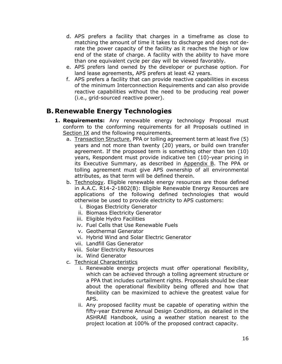- d. APS prefers a facility that charges in a timeframe as close to matching the amount of time it takes to discharge and does not derate the power capacity of the facility as it reaches the high or low end of the state of charge. A facility with the ability to have more than one equivalent cycle per day will be viewed favorably.
- e. APS prefers land owned by the developer or purchase option. For land lease agreements, APS prefers at least 42 years.
- f. APS prefers a facility that can provide reactive capabilities in excess of the minimum Interconnection Requirements and can also provide reactive capabilities without the need to be producing real power (i.e., grid-sourced reactive power).

### **B. Renewable Energy Technologies**

- **1. Requirements:** Any renewable energy technology Proposal must conform to the conforming requirements for all Proposals outlined in Section IX and the following requirements.
	- a. Transaction Structure. PPA or tolling agreement term at least five (5) years and not more than twenty (20) years, or build own transfer agreement. If the proposed term is something other than ten (10) years, Respondent must provide indicative ten (10)-year pricing in its Executive Summary, as described in Appendix B. The PPA or tolling agreement must give APS ownership of all environmental attributes, as that term will be defined therein.
	- b. Technology. Eligible renewable energy resources are those defined in A.A.C. R14-2-1802(B): Eligible Renewable Energy Resources are applications of the following defined technologies that would otherwise be used to provide electricity to APS customers:
		- i. Biogas Electricity Generator
		- ii. Biomass Electricity Generator
		- iii. Eligible Hydro Facilities
		- iv. Fuel Cells that Use Renewable Fuels
		- v. Geothermal Generator
		- vi. Hybrid Wind and Solar Electric Generator
		- vii. Landfill Gas Generator
		- viii. Solar Electricity Resources
		- ix. Wind Generator
	- c. Technical Characteristics
		- i. Renewable energy projects must offer operational flexibility, which can be achieved through a tolling agreement structure or a PPA that includes curtailment rights. Proposals should be clear about the operational flexibility being offered and how that flexibility can be maximized to achieve the greatest value for APS.
		- ii. Any proposed facility must be capable of operating within the fifty-year Extreme Annual Design Conditions, as detailed in the ASHRAE Handbook, using a weather station nearest to the project location at 100% of the proposed contract capacity.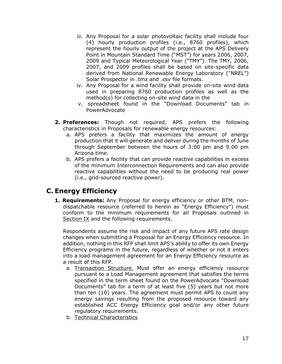- iii. Any Proposal for a solar photovoltaic facility shall include four (4) hourly production profiles (i.e., 8760 profiles), which represent the hourly output of the project at the APS Delivery Point in Mountain Standard Time ("MST") for years 2006, 2007, 2009 and Typical Meteorological Year ("TMY"). The TMY, 2006, 2007, and 2009 profiles shall be based on site-specific data derived from National Renewable Energy Laboratory ("NREL") Solar Prospector in .tmz and .csv file formats.
- iv. Any Proposal for a wind facility shall provide on-site wind data used in preparing 8760 production profiles as well as the method(s) for collecting on-site wind data in the
- v. spreadsheet found in the "Download Documents" tab in PowerAdvocate
- **2. Preferences:** Though not required, APS prefers the following characteristics in Proposals for renewable energy resources:
	- a. APS prefers a facility that maximizes the amount of energy production that it will generate and deliver during the months of June through September between the hours of 3:00 pm and 9:00 pm Arizona time.
	- b. APS prefers a facility that can provide reactive capabilities in excess of the minimum Interconnection Requirements and can also provide reactive capabilities without the need to be producing real power (i.e., grid-sourced reactive power).

### **C. Energy Efficiency**

**1. Requirements:** Any Proposal for energy efficiency or other BTM, nondispatchable resource (referred to herein as "Energy Efficiency") must conform to the minimum requirements for all Proposals outlined in Section IX and the following requirements.

Respondents assume the risk and impact of any future APS rate design changes when submitting a Proposal for an Energy Efficiency resource. In addition, nothing in this RFP shall limit APS's ability to offer its own Energy Efficiency programs in the future, regardless of whether or not it enters into a load management agreement for an Energy Efficiency resource as a result of this RFP.

- a. Transaction Structure. Must offer an energy efficiency resource pursuant to a Load Management agreement that satisfies the terms specified in the term sheet found on the PowerAdvocate "Download Documents" tab for a term of at least five (5) years but not more than ten (10) years. The agreement must permit APS to count any energy savings resulting from the proposed resource toward any established ACC Energy Efficiency goal and/or any other future regulatory requirements.
- b. Technical Characteristics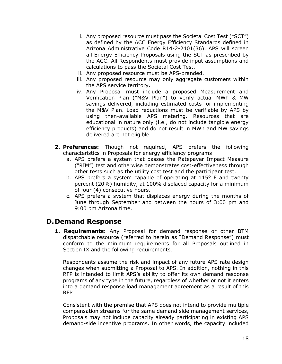- i. Any proposed resource must pass the Societal Cost Test ("SCT") as defined by the ACC Energy Efficiency Standards defined in Arizona Administrative Code R14-2-2401(36). APS will screen all Energy Efficiency Proposals using the SCT as prescribed by the ACC. All Respondents must provide input assumptions and calculations to pass the Societal Cost Test.
- ii. Any proposed resource must be APS-branded.
- iii. Any proposed resource may only aggregate customers within the APS service territory.
- iv. Any Proposal must include a proposed Measurement and Verification Plan ("M&V Plan") to verify actual MWh & MW savings delivered, including estimated costs for implementing the M&V Plan. Load reductions must be verifiable by APS by using then-available APS metering. Resources that are educational in nature only (i.e., do not include tangible energy efficiency products) and do not result in MWh and MW savings delivered are not eligible.
- **2. Preferences:** Though not required, APS prefers the following characteristics in Proposals for energy efficiency programs
	- a. APS prefers a system that passes the Ratepayer Impact Measure ("RIM") test and otherwise demonstrates cost-effectiveness through other tests such as the utility cost test and the participant test.
	- b. APS prefers a system capable of operating at 115° F and twenty percent (20%) humidity, at 100% displaced capacity for a minimum of four (4) consecutive hours.
	- c. APS prefers a system that displaces energy during the months of June through September and between the hours of 3:00 pm and 9:00 pm Arizona time.

### **D.Demand Response**

**1. Requirements:** Any Proposal for demand response or other BTM dispatchable resource (referred to herein as "Demand Response") must conform to the minimum requirements for all Proposals outlined in Section IX and the following requirements.

Respondents assume the risk and impact of any future APS rate design changes when submitting a Proposal to APS. In addition, nothing in this RFP is intended to limit APS's ability to offer its own demand response programs of any type in the future, regardless of whether or not it enters into a demand response load management agreement as a result of this RFP.

Consistent with the premise that APS does not intend to provide multiple compensation streams for the same demand side management services, Proposals may not include capacity already participating in existing APS demand-side incentive programs. In other words, the capacity included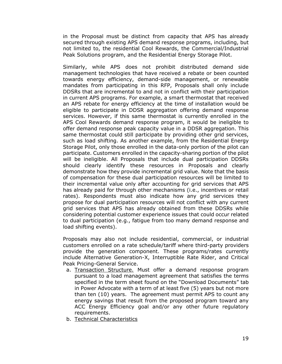in the Proposal must be distinct from capacity that APS has already secured through existing APS demand response programs, including, but not limited to, the residential Cool Rewards, the Commercial/Industrial Peak Solutions program, and the Residential Energy Storage Pilot.

Similarly, while APS does not prohibit distributed demand side management technologies that have received a rebate or been counted towards energy efficiency, demand-side management, or renewable mandates from participating in this RFP, Proposals shall only include DDSRs that are incremental to and not in conflict with their participation in current APS programs. For example, a smart thermostat that received an APS rebate for energy efficiency at the time of installation would be eligible to participate in DDSR aggregation offering demand response services. However, if this same thermostat is currently enrolled in the APS Cool Rewards demand response program, it would be ineligible to offer demand response peak capacity value in a DDSR aggregation. This same thermostat could still participate by providing other grid services, such as load shifting. As another example, from the Residential Energy Storage Pilot, only those enrolled in the data-only portion of the pilot can participate. Customers enrolled in the capacity-sharing portion of the pilot will be ineligible. All Proposals that include dual participation DDSRs should clearly identify these resources in Proposals and clearly demonstrate how they provide incremental grid value. Note that the basis of compensation for these dual participation resources will be limited to their incremental value only after accounting for grid services that APS has already paid for through other mechanisms (i.e., incentives or retail rates). Respondents must also indicate how any grid services they propose for dual participation resources will not conflict with any current grid services that APS has already obtained from these DDSRs while considering potential customer experience issues that could occur related to dual participation (e.g., fatigue from too many demand response and load shifting events).

Proposals may also not include residential, commercial, or industrial customers enrolled on a rate schedule/tariff where third-party providers provide the generation component. These programs/rates currently include Alternative Generation-X, Interruptible Rate Rider, and Critical Peak Pricing-General Service.

- a. Transaction Structure. Must offer a demand response program pursuant to a load management agreement that satisfies the terms specified in the term sheet found on the "Download Documents" tab in Power Advocate with a term of at least five (5) years but not more than ten (10) years. The agreement must permit APS to count any energy savings that result from the proposed program toward any ACC Energy Efficiency goal and/or any other future regulatory requirements.
- b. Technical Characteristics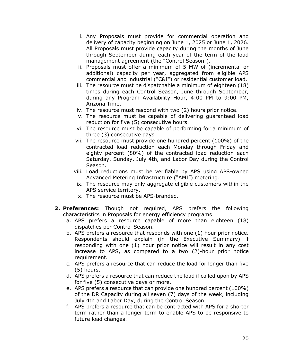- i. Any Proposals must provide for commercial operation and delivery of capacity beginning on June 1, 2025 or June 1, 2026. All Proposals must provide capacity during the months of June through September during each year of the term of the load management agreement (the "Control Season").
- ii. Proposals must offer a minimum of 5 MW of (incremental or additional) capacity per year, aggregated from eligible APS commercial and industrial ("C&I") or residential customer load.
- iii. The resource must be dispatchable a minimum of eighteen (18) times during each Control Season, June through September, during any Program Availability Hour, 4:00 PM to 9:00 PM, Arizona Time.
- iv. The resource must respond with two (2) hours prior notice.
- v. The resource must be capable of delivering guaranteed load reduction for five (5) consecutive hours.
- vi. The resource must be capable of performing for a minimum of three (3) consecutive days.
- vii. The resource must provide one hundred percent (100%) of the contracted load reduction each Monday through Friday and eighty percent (80%) of the contracted load reduction each Saturday, Sunday, July 4th, and Labor Day during the Control Season.
- viii. Load reductions must be verifiable by APS using APS-owned Advanced Metering Infrastructure ("AMI") metering.
- ix. The resource may only aggregate eligible customers within the APS service territory.
- x. The resource must be APS-branded.
- **2. Preferences:** Though not required, APS prefers the following characteristics in Proposals for energy efficiency programs
	- a. APS prefers a resource capable of more than eighteen (18) dispatches per Control Season.
	- b. APS prefers a resource that responds with one (1) hour prior notice. Respondents should explain (in the Executive Summary) if responding with one (1) hour prior notice will result in any cost increase to APS, as compared to a two (2)-hour prior notice requirement.
	- c. APS prefers a resource that can reduce the load for longer than five (5) hours.
	- d. APS prefers a resource that can reduce the load if called upon by APS for five (5) consecutive days or more.
	- e. APS prefers a resource that can provide one hundred percent (100%) of the DR Capacity during all seven (7) days of the week, including July 4th and Labor Day, during the Control Season.
	- f. APS prefers a resource that can be contracted with APS for a shorter term rather than a longer term to enable APS to be responsive to future load changes.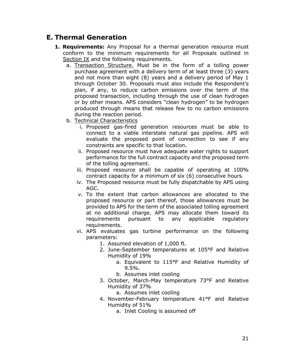### **E. Thermal Generation**

- **1. Requirements:** Any Proposal for a thermal generation resource must conform to the minimum requirements for all Proposals outlined in Section IX and the following requirements.
	- a. Transaction Structure. Must be in the form of a tolling power purchase agreement with a delivery term of at least three (3) years and not more than eight (8) years and a delivery period of May 1 through October 30. Proposals must also include the Respondent's plan, if any, to reduce carbon emissions over the term of the proposed transaction, including through the use of clean hydrogen or by other means. APS considers "clean hydrogen" to be hydrogen produced through means that release few to no carbon emissions during the reaction period.
	- b. Technical Characteristics
		- i. Proposed gas-fired generation resources must be able to connect to a viable interstate natural gas pipeline. APS will evaluate the proposed point of connection to see if any constraints are specific to that location.
		- ii. Proposed resource must have adequate water rights to support performance for the full contract capacity and the proposed term of the tolling agreement.
		- iii. Proposed resource shall be capable of operating at 100% contract capacity for a minimum of six (6) consecutive hours.
		- iv. The Proposed resource must be fully dispatchable by APS using AGC.
		- v. To the extent that carbon allowances are allocated to the proposed resource or part thereof, those allowances must be provided to APS for the term of the associated tolling agreement at no additional charge. APS may allocate them toward its requirements pursuant to any applicable regulatory requirements.
		- vi. APS evaluates gas turbine performance on the following parameters:
			- 1. Assumed elevation of 1,000 ft.
			- 2. June-September temperatures at 105°F and Relative Humidity of 19%
				- a. Equivalent to 115°F and Relative Humidity of 9.5%.
				- b. Assumes inlet cooling
			- 3. October, March-May temperature 73°F and Relative Humidity of 37%
				- a. Assumes inlet cooling
			- 4. November-February temperature 41°F and Relative Humidity of 51%
				- a. Inlet Cooling is assumed off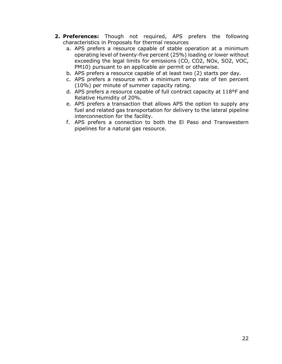- **2. Preferences:** Though not required, APS prefers the following characteristics in Proposals for thermal resources
	- a. APS prefers a resource capable of stable operation at a minimum operating level of twenty-five percent (25%) loading or lower without exceeding the legal limits for emissions (CO, CO2, NOx, SO2, VOC, PM10) pursuant to an applicable air permit or otherwise.
	- b. APS prefers a resource capable of at least two (2) starts per day.
	- c. APS prefers a resource with a minimum ramp rate of ten percent (10%) per minute of summer capacity rating.
	- d. APS prefers a resource capable of full contract capacity at 118°F and Relative Humidity of 20%.
	- e. APS prefers a transaction that allows APS the option to supply any fuel and related gas transportation for delivery to the lateral pipeline interconnection for the facility.
	- f. APS prefers a connection to both the El Paso and Transwestern pipelines for a natural gas resource.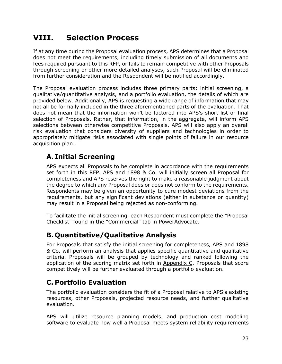# <span id="page-22-0"></span>**VIII. Selection Process**

If at any time during the Proposal evaluation process, APS determines that a Proposal does not meet the requirements, including timely submission of all documents and fees required pursuant to this RFP, or fails to remain competitive with other Proposals through screening or other more detailed analyses, such Proposal will be eliminated from further consideration and the Respondent will be notified accordingly.

The Proposal evaluation process includes three primary parts: initial screening, a qualitative/quantitative analysis, and a portfolio evaluation, the details of which are provided below. Additionally, APS is requesting a wide range of information that may not all be formally included in the three aforementioned parts of the evaluation. That does not mean that the information won't be factored into APS's short list or final selection of Proposals. Rather, that information, in the aggregate, will inform APS selections between otherwise competitive Proposals. APS will also apply an overall risk evaluation that considers diversity of suppliers and technologies in order to appropriately mitigate risks associated with single points of failure in our resource acquisition plan.

# **A. Initial Screening**

APS expects all Proposals to be complete in accordance with the requirements set forth in this RFP. APS and 1898 & Co. will initially screen all Proposal for completeness and APS reserves the right to make a reasonable judgment about the degree to which any Proposal does or does not conform to the requirements. Respondents may be given an opportunity to cure modest deviations from the requirements, but any significant deviations (either in substance or quantity) may result in a Proposal being rejected as non-conforming.

To facilitate the initial screening, each Respondent must complete the "Proposal Checklist" found in the "Commercial" tab in PowerAdvocate.

# **B. Quantitative/Qualitative Analysis**

For Proposals that satisfy the initial screening for completeness, APS and 1898 & Co. will perform an analysis that applies specific quantitative and qualitative criteria. Proposals will be grouped by technology and ranked following the application of the scoring matrix set forth in Appendix C. Proposals that score competitively will be further evaluated through a portfolio evaluation.

# **C. Portfolio Evaluation**

The portfolio evaluation considers the fit of a Proposal relative to APS's existing resources, other Proposals, projected resource needs, and further qualitative evaluation.

APS will utilize resource planning models, and production cost modeling software to evaluate how well a Proposal meets system reliability requirements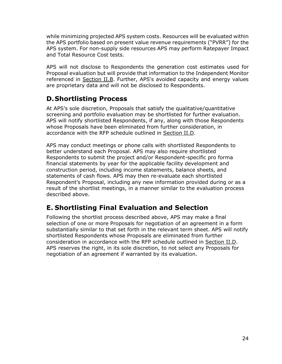while minimizing projected APS system costs. Resources will be evaluated within the APS portfolio based on present value revenue requirements ("PVRR") for the APS system. For non-supply side resources APS may perform Ratepayer Impact and Total Resource Cost tests.

APS will not disclose to Respondents the generation cost estimates used for Proposal evaluation but will provide that information to the Independent Monitor referenced in Section II.B. Further, APS's avoided capacity and energy values are proprietary data and will not be disclosed to Respondents.

### **D.Shortlisting Process**

At APS's sole discretion, Proposals that satisfy the qualitative/quantitative screening and portfolio evaluation may be shortlisted for further evaluation. APS will notify shortlisted Respondents, if any, along with those Respondents whose Proposals have been eliminated from further consideration, in accordance with the RFP schedule outlined in Section II.D.

APS may conduct meetings or phone calls with shortlisted Respondents to better understand each Proposal. APS may also require shortlisted Respondents to submit the project and/or Respondent-specific pro forma financial statements by year for the applicable facility development and construction period, including income statements, balance sheets, and statements of cash flows. APS may then re-evaluate each shortlisted Respondent's Proposal, including any new information provided during or as a result of the shortlist meetings, in a manner similar to the evaluation process described above.

### **E. Shortlisting Final Evaluation and Selection**

Following the shortlist process described above, APS may make a final selection of one or more Proposals for negotiation of an agreement in a form substantially similar to that set forth in the relevant term sheet. APS will notify shortlisted Respondents whose Proposals are eliminated from further consideration in accordance with the RFP schedule outlined in Section II.D. APS reserves the right, in its sole discretion, to not select any Proposals for negotiation of an agreement if warranted by its evaluation.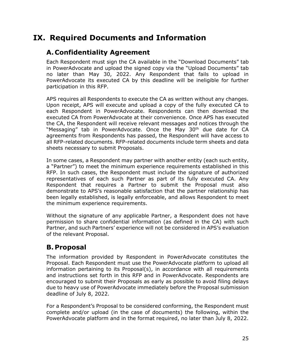# <span id="page-24-0"></span>**IX. Required Documents and Information**

# **A.Confidentiality Agreement**

Each Respondent must sign the CA available in the "Download Documents" tab in PowerAdvocate and upload the signed copy via the "Upload Documents" tab no later than May 30, 2022. Any Respondent that fails to upload in PowerAdvocate its executed CA by this deadline will be ineligible for further participation in this RFP.

APS requires all Respondents to execute the CA as written without any changes. Upon receipt, APS will execute and upload a copy of the fully executed CA to each Respondent in PowerAdvocate. Respondents can then download the executed CA from PowerAdvocate at their convenience. Once APS has executed the CA, the Respondent will receive relevant messages and notices through the "Messaging" tab in PowerAdvocate. Once the May 30<sup>th</sup> due date for CA agreements from Respondents has passed, the Respondent will have access to all RFP-related documents. RFP-related documents include term sheets and data sheets necessary to submit Proposals.

In some cases, a Respondent may partner with another entity (each such entity, a "Partner") to meet the minimum experience requirements established in this RFP. In such cases, the Respondent must include the signature of authorized representatives of each such Partner as part of its fully executed CA. Any Respondent that requires a Partner to submit the Proposal must also demonstrate to APS's reasonable satisfaction that the partner relationship has been legally established, is legally enforceable, and allows Respondent to meet the minimum experience requirements.

Without the signature of any applicable Partner, a Respondent does not have permission to share confidential information (as defined in the CA) with such Partner, and such Partners' experience will not be considered in APS's evaluation of the relevant Proposal.

### **B. Proposal**

The information provided by Respondent in PowerAdvocate constitutes the Proposal. Each Respondent must use the PowerAdvocate platform to upload all information pertaining to its Proposal(s), in accordance with all requirements and instructions set forth in this RFP and in PowerAdvocate. Respondents are encouraged to submit their Proposals as early as possible to avoid filing delays due to heavy use of PowerAdvocate immediately before the Proposal submission deadline of July 8, 2022.

For a Respondent's Proposal to be considered conforming, the Respondent must complete and/or upload (in the case of documents) the following, within the PowerAdvocate platform and in the format required, no later than July 8, 2022.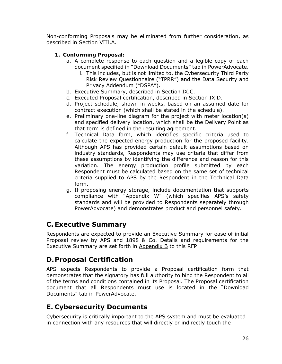Non-conforming Proposals may be eliminated from further consideration, as described in Section VIII.A.

### **1. Conforming Proposal:**

- a. A complete response to each question and a legible copy of each document specified in "Download Documents" tab in PowerAdvocate.
	- i. This includes, but is not limited to, the Cybersecurity Third Party Risk Review Questionnaire ("TPRR") and the Data Security and Privacy Addendum ("DSPA").
- b. Executive Summary, described in Section IX.C.
- c. Executed Proposal certification, described in Section IX.D.
- d. Project schedule, shown in weeks, based on an assumed date for contract execution (which shall be stated in the schedule).
- e. Preliminary one-line diagram for the project with meter location(s) and specified delivery location, which shall be the Delivery Point as that term is defined in the resulting agreement.
- f. Technical Data form, which identifies specific criteria used to calculate the expected energy production for the proposed facility. Although APS has provided certain default assumptions based on industry standards, Respondents may use criteria that differ from these assumptions by identifying the difference and reason for this variation. The energy production profile submitted by each Respondent must be calculated based on the same set of technical criteria supplied to APS by the Respondent in the Technical Data form.
- g. If proposing energy storage, include documentation that supports compliance with "Appendix W" (which specifies APS's safety standards and will be provided to Respondents separately through PowerAdvocate) and demonstrates product and personnel safety.

### **C. Executive Summary**

Respondents are expected to provide an Executive Summary for ease of initial Proposal review by APS and 1898 & Co. Details and requirements for the Executive Summary are set forth in Appendix B to this RFP

### **D.Proposal Certification**

APS expects Respondents to provide a Proposal certification form that demonstrates that the signatory has full authority to bind the Respondent to all of the terms and conditions contained in its Proposal. The Proposal certification document that all Respondents must use is located in the "Download Documents" tab in PowerAdvocate.

### **E. Cybersecurity Documents**

Cybersecurity is critically important to the APS system and must be evaluated in connection with any resources that will directly or indirectly touch the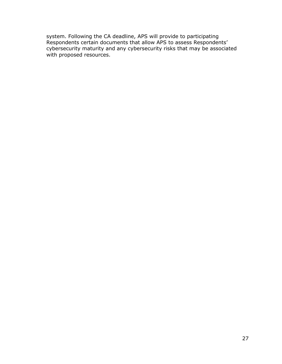system. Following the CA deadline, APS will provide to participating Respondents certain documents that allow APS to assess Respondents' cybersecurity maturity and any cybersecurity risks that may be associated with proposed resources.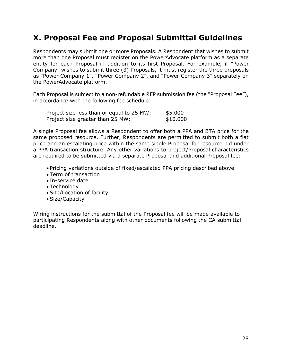# <span id="page-27-0"></span>**X. Proposal Fee and Proposal Submittal Guidelines**

Respondents may submit one or more Proposals. A Respondent that wishes to submit more than one Proposal must register on the PowerAdvocate platform as a separate entity for each Proposal in addition to its first Proposal. For example, if "Power Company" wishes to submit three (3) Proposals, it must register the three proposals as "Power Company 1", "Power Company 2", and "Power Company 3" separately on the PowerAdvocate platform.

Each Proposal is subject to a non-refundable RFP submission fee (the "Proposal Fee"), in accordance with the following fee schedule:

| Project size less than or equal to 25 MW: | \$5,000  |
|-------------------------------------------|----------|
| Project size greater than 25 MW:          | \$10,000 |

A single Proposal fee allows a Respondent to offer both a PPA and BTA price for the same proposed resource. Further, Respondents are permitted to submit both a flat price and an escalating price within the same single Proposal for resource bid under a PPA transaction structure. Any other variations to project/Proposal characteristics are required to be submitted via a separate Proposal and additional Proposal fee:

- Pricing variations outside of fixed/escalated PPA pricing described above
- Term of transaction
- In-service date
- Technology
- Site/Location of facility
- Size/Capacity

Wiring instructions for the submittal of the Proposal fee will be made available to participating Respondents along with other documents following the CA submittal deadline.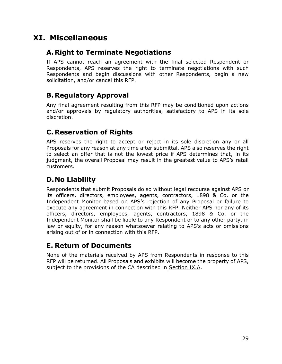# <span id="page-28-0"></span>**XI. Miscellaneous**

### **A.Right to Terminate Negotiations**

If APS cannot reach an agreement with the final selected Respondent or Respondents, APS reserves the right to terminate negotiations with such Respondents and begin discussions with other Respondents, begin a new solicitation, and/or cancel this RFP.

# **B. Regulatory Approval**

Any final agreement resulting from this RFP may be conditioned upon actions and/or approvals by regulatory authorities, satisfactory to APS in its sole discretion.

# **C. Reservation of Rights**

APS reserves the right to accept or reject in its sole discretion any or all Proposals for any reason at any time after submittal. APS also reserves the right to select an offer that is not the lowest price if APS determines that, in its judgment, the overall Proposal may result in the greatest value to APS's retail customers.

# **D.No Liability**

Respondents that submit Proposals do so without legal recourse against APS or its officers, directors, employees, agents, contractors, 1898 & Co. or the Independent Monitor based on APS's rejection of any Proposal or failure to execute any agreement in connection with this RFP. Neither APS nor any of its officers, directors, employees, agents, contractors, 1898 & Co. or the Independent Monitor shall be liable to any Respondent or to any other party, in law or equity, for any reason whatsoever relating to APS's acts or omissions arising out of or in connection with this RFP.

### **E. Return of Documents**

None of the materials received by APS from Respondents in response to this RFP will be returned. All Proposals and exhibits will become the property of APS, subject to the provisions of the CA described in Section IX.A.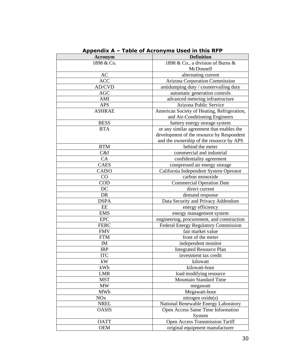|                       | Appendix A – Table of Acronyms Used in this RFP |  |  |  |
|-----------------------|-------------------------------------------------|--|--|--|
| Acronym               | <b>Definition</b>                               |  |  |  |
| 1898 & Co.            | 1898 & Co., a division of Burns &               |  |  |  |
|                       | McDonnell                                       |  |  |  |
| AC                    | alternating current                             |  |  |  |
| <b>ACC</b>            | Arizona Corporation Commission                  |  |  |  |
| AD/CVD                | antidumping duty / countervailing duty          |  |  |  |
| <b>AGC</b>            | automatic generation controls                   |  |  |  |
| AMI                   | advanced metering infrastructure                |  |  |  |
| <b>APS</b>            | Arizona Public Service                          |  |  |  |
| <b>ASHRAE</b>         | American Society of Heating, Refrigeration,     |  |  |  |
|                       | and Air-Conditioning Engineers                  |  |  |  |
| <b>BESS</b>           | battery energy storage system                   |  |  |  |
| <b>BTA</b>            | or any similar agreement that enables the       |  |  |  |
|                       | development of the resource by Respondent       |  |  |  |
|                       | and the ownership of the resource by APS        |  |  |  |
| <b>BTM</b>            | behind the meter                                |  |  |  |
| C&I                   | commercial and industrial                       |  |  |  |
| CA                    | confidentiality agreement                       |  |  |  |
| <b>CAES</b>           | compressed air energy storage                   |  |  |  |
| CAISO                 | California Independent System Operator          |  |  |  |
| CO                    | carbon monoxide                                 |  |  |  |
| <b>COD</b>            | <b>Commercial Operation Date</b>                |  |  |  |
| DC                    | direct current                                  |  |  |  |
| DR                    | demand response                                 |  |  |  |
| <b>DSPA</b>           | Data Security and Privacy Addendum              |  |  |  |
| EE                    | energy efficiency                               |  |  |  |
| <b>EMS</b>            | energy management system                        |  |  |  |
| <b>EPC</b>            | engineering, procurement, and construction      |  |  |  |
| <b>FERC</b>           | Federal Energy Regulatory Commission            |  |  |  |
| <b>FMV</b>            | fair market value                               |  |  |  |
| <b>FTM</b>            | front of the meter                              |  |  |  |
| IM                    | independent monitor                             |  |  |  |
| <b>IRP</b>            | <b>Integrated Resource Plan</b>                 |  |  |  |
| <b>ITC</b>            | investment tax credit                           |  |  |  |
| kW                    | kilowatt                                        |  |  |  |
| kWh                   | kilowatt-hour                                   |  |  |  |
| LMR                   | load modifying resource                         |  |  |  |
| <b>MST</b>            | <b>Mountain Standard Time</b>                   |  |  |  |
| <b>MW</b>             | megawatt                                        |  |  |  |
| MWh                   | Megawatt-hour                                   |  |  |  |
| <b>NO<sub>x</sub></b> | nitrogen oxide(s)                               |  |  |  |
| <b>NREL</b>           | National Renewable Energy Laboratory            |  |  |  |
| <b>OASIS</b>          | Open Access Same Time Information               |  |  |  |
|                       | System                                          |  |  |  |
| <b>OATT</b>           | Open Access Transmission Tariff                 |  |  |  |
| <b>OEM</b>            | original equipment manufacturer                 |  |  |  |

|  | Appendix A – Table of Acronyms Used in this RFP |  |  |  |  |  |  |  |  |  |  |
|--|-------------------------------------------------|--|--|--|--|--|--|--|--|--|--|
|--|-------------------------------------------------|--|--|--|--|--|--|--|--|--|--|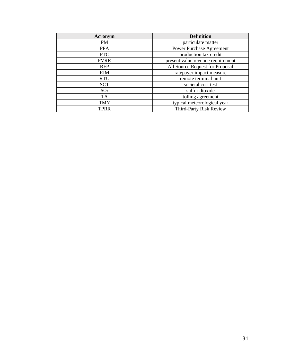| Acronym         | <b>Definition</b>                 |
|-----------------|-----------------------------------|
| <b>PM</b>       | particulate matter                |
| <b>PPA</b>      | <b>Power Purchase Agreement</b>   |
| <b>PTC</b>      | production tax credit             |
| <b>PVRR</b>     | present value revenue requirement |
| <b>RFP</b>      | All Source Request for Proposal   |
| <b>RIM</b>      | ratepayer impact measure          |
| <b>RTU</b>      | remote terminal unit              |
| <b>SCT</b>      | societal cost test                |
| SO <sub>2</sub> | sulfur dioxide                    |
| <b>TA</b>       | tolling agreement                 |
| <b>TMY</b>      | typical meteorological year       |
| <b>TPRR</b>     | <b>Third-Party Risk Review</b>    |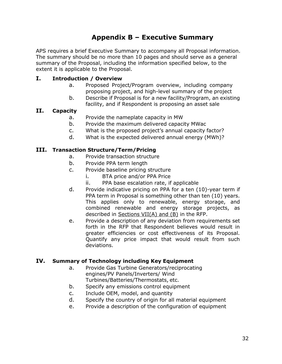# **Appendix B – Executive Summary**

APS requires a brief Executive Summary to accompany all Proposal information. The summary should be no more than 10 pages and should serve as a general summary of the Proposal, including the information specified below, to the extent it is applicable to the Proposal.

### **I. Introduction / Overview**

- a. Proposed Project/Program overview, including company proposing project, and high-level summary of the project
- b. Describe if Proposal is for a new facility/Program, an existing facility, and if Respondent is proposing an asset sale

#### **II. Capacity**

- a. Provide the nameplate capacity in MW
- b. Provide the maximum delivered capacity MWac
- c. What is the proposed project's annual capacity factor?
- d. What is the expected delivered annual energy (MWh)?

#### **III. Transaction Structure/Term/Pricing**

- a. Provide transaction structure
- b. Provide PPA term length
- c. Provide baseline pricing structure
	- i. BTA price and/or PPA Price
	- ii. PPA base escalation rate, if applicable
- d. Provide indicative pricing on PPA for a ten (10)-year term if PPA term in Proposal is something other than ten (10) years. This applies only to renewable, energy storage, and combined renewable and energy storage projects, as described in Sections VII(A) and (B) in the RFP.
- e. Provide a description of any deviation from requirements set forth in the RFP that Respondent believes would result in greater efficiencies or cost effectiveness of its Proposal. Quantify any price impact that would result from such deviations.

### **IV. Summary of Technology including Key Equipment**

- a. Provide Gas Turbine Generators/reciprocating engines/PV Panels/Inverters/ Wind Turbines/Batteries/Thermostats, etc.
- b. Specify any emissions control equipment
- c. Include OEM, model, and quantity
- d. Specify the country of origin for all material equipment
- e. Provide a description of the configuration of equipment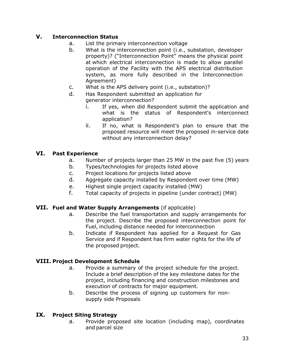### **V. Interconnection Status**

- a. List the primary interconnection voltage
- b. What is the interconnection point (i.e., substation, developer property)? ("Interconnection Point" means the physical point at which electrical interconnection is made to allow parallel operation of the Facility with the APS electrical distribution system, as more fully described in the Interconnection Agreement)
- c. What is the APS delivery point (i.e., substation)?
- d. Has Respondent submitted an application for generator interconnection?
	- i. If yes, when did Respondent submit the application and what is the status of Respondent's interconnect application?
	- ii. If no, what is Respondent's plan to ensure that the proposed resource will meet the proposed in-service date without any interconnection delay?

### **VI. Past Experience**

- a. Number of projects larger than 25 MW in the past five (5) years
- b. Types/technologies for projects listed above
- c. Project locations for projects listed above
- d. Aggregate capacity installed by Respondent over time (MW)
- e. Highest single project capacity installed (MW)
- f. Total capacity of projects in pipeline (under contract) (MW)

### **VII. Fuel and Water Supply Arrangements** (if applicable)

- a. Describe the fuel transportation and supply arrangements for the project. Describe the proposed interconnection point for Fuel, including distance needed for interconnection
- b. Indicate if Respondent has applied for a Request for Gas Service and if Respondent has firm water rights for the life of the proposed project.

### **VIII. Project Development Schedule**

- a. Provide a summary of the project schedule for the project. Include a brief description of the key milestone dates for the project, including financing and construction milestones and execution of contracts for major equipment.
- b. Describe the process of signing up customers for nonsupply side Proposals

### **IX. Project Siting Strategy**

a. Provide proposed site location (including map), coordinates and parcel size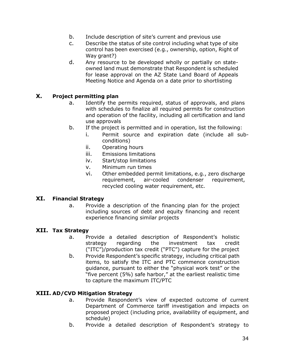- b. Include description of site's current and previous use
- c. Describe the status of site control including what type of site control has been exercised (e.g., ownership, option, Right of Way grant?)
- d. Any resource to be developed wholly or partially on stateowned land must demonstrate that Respondent is scheduled for lease approval on the AZ State Land Board of Appeals Meeting Notice and Agenda on a date prior to shortlisting

### **X. Project permitting plan**

- a. Identify the permits required, status of approvals, and plans with schedules to finalize all required permits for construction and operation of the facility, including all certification and land use approvals
- b. If the project is permitted and in operation, list the following:
	- i. Permit source and expiration date (include all subconditions)
	- ii. Operating hours
	- iii. Emissions limitations
	- iv. Start/stop limitations
	- v. Minimum run times
	- vi. Other embedded permit limitations, e.g., zero discharge requirement, air-cooled condenser requirement, recycled cooling water requirement, etc.

#### **XI. Financial Strategy**

a. Provide a description of the financing plan for the project including sources of debt and equity financing and recent experience financing similar projects

#### **XII. Tax Strategy**

- a. Provide a detailed description of Respondent's holistic strategy regarding the investment tax credit ("ITC")/production tax credit ("PTC") capture for the project
- b. Provide Respondent's specific strategy, including critical path items, to satisfy the ITC and PTC commence construction guidance, pursuant to either the "physical work test" or the "five percent (5%) safe harbor," at the earliest realistic time to capture the maximum ITC/PTC

#### **XIII. AD/CVD Mitigation Strategy**

- a. Provide Respondent's view of expected outcome of current Department of Commerce tariff investigation and impacts on proposed project (including price, availability of equipment, and schedule)
- b. Provide a detailed description of Respondent's strategy to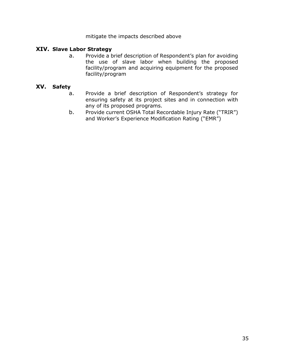mitigate the impacts described above

#### **XIV. Slave Labor Strategy**

a. Provide a brief description of Respondent's plan for avoiding the use of slave labor when building the proposed facility/program and acquiring equipment for the proposed facility/program

#### **XV. Safety**

- a. Provide a brief description of Respondent's strategy for ensuring safety at its project sites and in connection with any of its proposed programs.
- b. Provide current OSHA Total Recordable Injury Rate ("TRIR") and Worker's Experience Modification Rating ("EMR")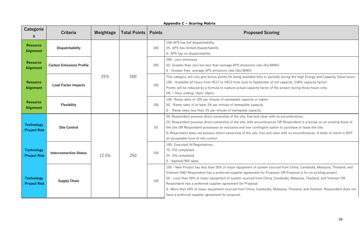| Appendix C - Scoring Matrix         |                                 |           |                     |               |                                                                                                                                                                                                                                                                                   |                                                                                                                                                                                                                                                                                                                                                                                                                          |
|-------------------------------------|---------------------------------|-----------|---------------------|---------------|-----------------------------------------------------------------------------------------------------------------------------------------------------------------------------------------------------------------------------------------------------------------------------------|--------------------------------------------------------------------------------------------------------------------------------------------------------------------------------------------------------------------------------------------------------------------------------------------------------------------------------------------------------------------------------------------------------------------------|
| Categorie<br>S                      | Criteria                        | Weightage | <b>Total Points</b> | <b>Points</b> | <b>Proposed Scoring</b>                                                                                                                                                                                                                                                           |                                                                                                                                                                                                                                                                                                                                                                                                                          |
| <b>Resource</b><br><b>Alignment</b> | <b>Dispatchability</b>          |           | 500                 | 100           | 100-APS has full dispatchability<br>25- APS has limited dispatchability<br>0- APS has no dispatchability                                                                                                                                                                          |                                                                                                                                                                                                                                                                                                                                                                                                                          |
| <b>Resource</b><br><b>Alignment</b> | <b>Carbon Emissions Profile</b> | 25%       |                     | 200           | 200 - zero emissions<br>50- Greater than zero but less than average APS emissions rate (lbs/MWh)<br>0 - Greater than average APS emissions rate (Ibs/MWh)                                                                                                                         |                                                                                                                                                                                                                                                                                                                                                                                                                          |
| <b>Resource</b><br>Alignment        | <b>Load Factor Impacts</b>      |           |                     | 100<br>100    | This category will only give bonus points for being available fully or partially<br>100 - Available all hours from HE17 to HE22 from June to September at full<br>Points will be reduced by a formula to capture actual capacity factor of the<br>$HE =$ Hour ending; (4pm-10pm). |                                                                                                                                                                                                                                                                                                                                                                                                                          |
| <b>Resource</b><br><b>Alignment</b> | <b>Flexibility</b>              |           |                     |               | 100- Ramp rates of 10% per minute of nameplate capacity or higher<br>50 - Ramp rates of at least 3% per minute of nameplate capacity<br>0 - Ramp rates less than 3% per minute of nameplate capacity                                                                              |                                                                                                                                                                                                                                                                                                                                                                                                                          |
| <b>Technology</b><br>/Project Risk  | <b>Site Control</b>             |           | 250                 |               | 50                                                                                                                                                                                                                                                                                | 50: Respondent possess direct ownership of the site, free and clear with no<br>25: Respondent possess direct ownership of the site, with encumbrances O<br>the site OR Respondent possesses an exclusive and non-contingent option<br>0: Respondent does not possess direct ownership of the site, free and clear<br>an acceptable form of site control.                                                                 |
| <b>Technology</b><br>/Project Risk  | <b>Interconnection Status</b>   | 12.5%     |                     | 100           | 100- Executed IA/Negotiations.<br>75- FIS completed<br>25-SIS completed.<br>0 - Applied/Will apply                                                                                                                                                                                |                                                                                                                                                                                                                                                                                                                                                                                                                          |
| <b>Technology</b><br>/Project Risk  | <b>Supply Chain</b>             |           |                     |               | 100                                                                                                                                                                                                                                                                               | 100 – New Project has less than 50% of major equipment of system source<br>Vietnam AND Respondent has a preferred supplier agreement for Proposal<br>50 – Less than 50% of major equipment of system sourced from China, Can<br>Respondent has a preferred supplier agreement for Proposal<br>0-More than 50% of major equipment sourced from China, Cambodia, Mala<br>have a preferred supplier agreement for proposal. |

os/MWh)

 $\gamma$  partially during the High Energy and Capacity Value hours. er at full capacity (100% capacity factor) or of the project during those hours only.

r with no encumbrances.

rances OR Respondent is a lessee on an existing lease of nt option to purchase or lease the site.

and clear with no encumbrances. A letter of intent is NOT

n sourced from China, Cambodia, Malaysia, Thailand, and Proposal; OR Proposal is for an existing project hina, Cambodia, Malaysia, Thailand, and Vietnam OR

dia, Malaysia, Thailand, and Vietnam. Respondent does not